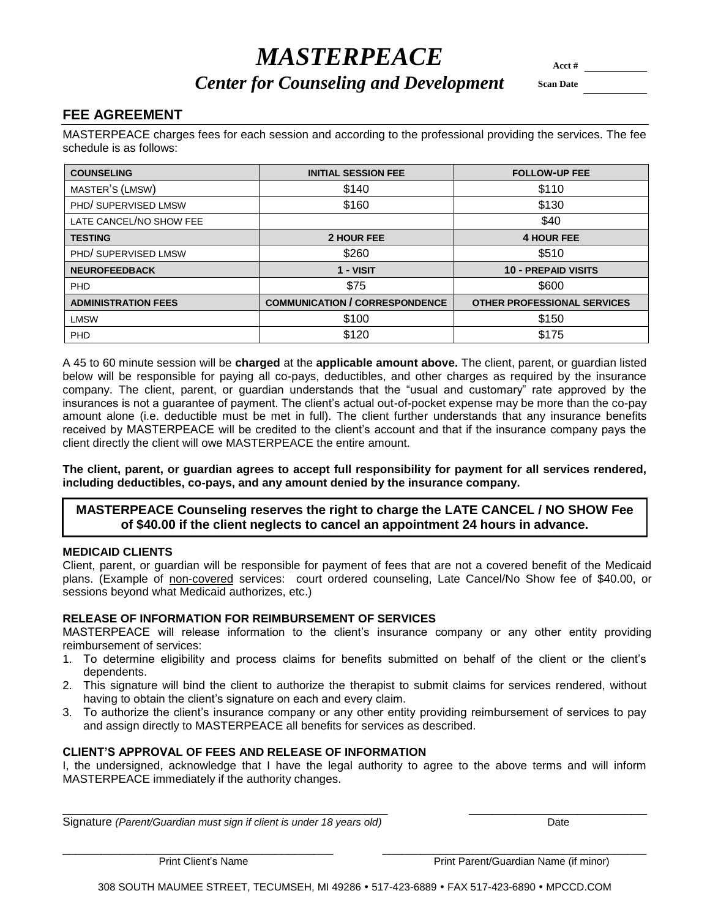# $\boldsymbol{M}\boldsymbol{A} \boldsymbol{S} \boldsymbol{T} \boldsymbol{E} \boldsymbol{R} \boldsymbol{P} \boldsymbol{E} \boldsymbol{A} \boldsymbol{C} \boldsymbol{E}$

# *Center for Counseling and Development* Scan Date

# **FEE AGREEMENT**

MASTERPEACE charges fees for each session and according to the professional providing the services. The fee schedule is as follows:

| <b>COUNSELING</b>          | <b>INITIAL SESSION FEE</b>            | <b>FOLLOW-UP FEE</b>               |
|----------------------------|---------------------------------------|------------------------------------|
| MASTER'S (LMSW)            | \$140                                 | \$110                              |
| PHD/SUPERVISED LMSW        | \$160                                 | \$130                              |
| LATE CANCEL/NO SHOW FEE    |                                       | \$40                               |
| <b>TESTING</b>             | 2 HOUR FEE                            | <b>4 HOUR FEE</b>                  |
| PHD/SUPERVISED LMSW        | \$260                                 | \$510                              |
| <b>NEUROFEEDBACK</b>       | $1 - VISIT$                           | <b>10 - PREPAID VISITS</b>         |
| <b>PHD</b>                 | \$75                                  | \$600                              |
| <b>ADMINISTRATION FEES</b> | <b>COMMUNICATION / CORRESPONDENCE</b> | <b>OTHER PROFESSIONAL SERVICES</b> |
| <b>LMSW</b>                | \$100                                 | \$150                              |
| PHD                        | \$120                                 | \$175                              |

A 45 to 60 minute session will be **charged** at the **applicable amount above.** The client, parent, or guardian listed below will be responsible for paying all co-pays, deductibles, and other charges as required by the insurance company. The client, parent, or guardian understands that the "usual and customary" rate approved by the insurances is not a guarantee of payment. The client's actual out-of-pocket expense may be more than the co-pay amount alone (i.e. deductible must be met in full). The client further understands that any insurance benefits received by MASTERPEACE will be credited to the client's account and that if the insurance company pays the client directly the client will owe MASTERPEACE the entire amount.

**The client, parent, or guardian agrees to accept full responsibility for payment for all services rendered, including deductibles, co-pays, and any amount denied by the insurance company.**

## **MASTERPEACE Counseling reserves the right to charge the LATE CANCEL / NO SHOW Fee of \$40.00 if the client neglects to cancel an appointment 24 hours in advance.**

## **MEDICAID CLIENTS**

Client, parent, or guardian will be responsible for payment of fees that are not a covered benefit of the Medicaid plans. (Example of non-covered services: court ordered counseling, Late Cancel/No Show fee of \$40.00, or sessions beyond what Medicaid authorizes, etc.)

#### **RELEASE OF INFORMATION FOR REIMBURSEMENT OF SERVICES**

MASTERPEACE will release information to the client's insurance company or any other entity providing reimbursement of services:

- 1. To determine eligibility and process claims for benefits submitted on behalf of the client or the client's dependents.
- 2. This signature will bind the client to authorize the therapist to submit claims for services rendered, without having to obtain the client's signature on each and every claim.
- 3. To authorize the client's insurance company or any other entity providing reimbursement of services to pay and assign directly to MASTERPEACE all benefits for services as described.

#### **CLIENT'S APPROVAL OF FEES AND RELEASE OF INFORMATION**

I, the undersigned, acknowledge that I have the legal authority to agree to the above terms and will inform MASTERPEACE immediately if the authority changes.

\_\_\_\_\_\_\_\_\_\_\_\_\_\_\_\_\_\_\_\_\_\_\_\_\_\_\_\_\_\_\_\_\_\_\_\_\_\_\_\_\_\_ \_\_\_\_\_\_\_\_\_\_\_\_\_\_\_\_\_\_\_\_\_\_\_

\_\_\_\_\_\_\_\_\_\_\_\_\_\_\_\_\_\_\_\_\_\_\_\_\_\_\_\_\_\_\_\_\_\_\_\_\_\_\_\_\_\_ \_\_\_\_\_\_\_\_\_\_\_\_\_\_\_\_\_\_\_\_\_\_\_\_\_\_\_\_\_\_\_\_\_\_\_\_\_\_\_\_\_

Signature *(Parent/Guardian must sign if client is under 18 years old)* Date

Print Client's Name **Print Parent/Guardian Name (if minor)** Print Parent/Guardian Name (if minor)

308 SOUTH MAUMEE STREET, TECUMSEH, MI 49286 517-423-6889 FAX 517-423-6890 MPCCD.COM